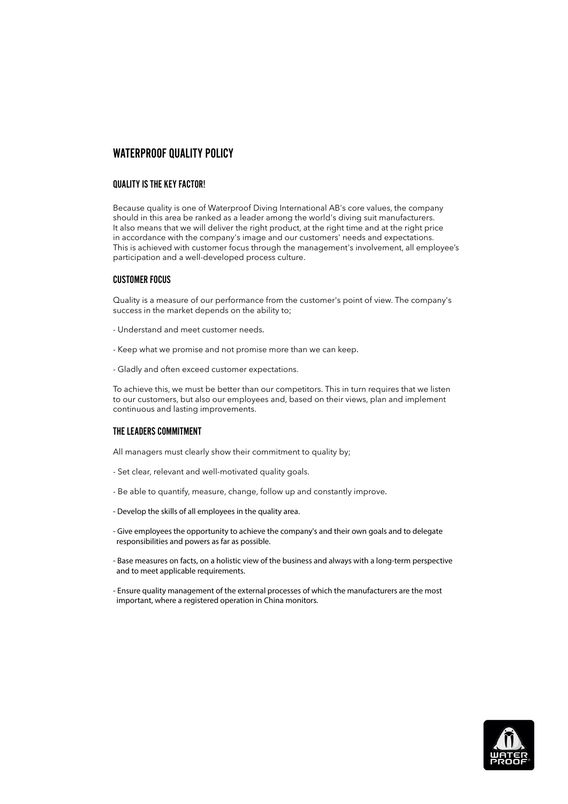# WATERPROOF QUALITY POLICY

## QUALITY IS THE KEY FACTOR!

Because quality is one of Waterproof Diving International AB's core values, the company should in this area be ranked as a leader among the world's diving suit manufacturers. It also means that we will deliver the right product, at the right time and at the right price in accordance with the company's image and our customers' needs and expectations. This is achieved with customer focus through the management's involvement, all employee's participation and a well-developed process culture.

### CUSTOMER FOCUS

Quality is a measure of our performance from the customer's point of view. The company's success in the market depends on the ability to;

- Understand and meet customer needs.
- Keep what we promise and not promise more than we can keep.
- Gladly and often exceed customer expectations.

To achieve this, we must be better than our competitors. This in turn requires that we listen to our customers, but also our employees and, based on their views, plan and implement continuous and lasting improvements.

## THE LEADERS COMMITMENT

All managers must clearly show their commitment to quality by;

- Set clear, relevant and well-motivated quality goals.
- Be able to quantify, measure, change, follow up and constantly improve.
- Develop the skills of all employees in the quality area.
- Give employees the opportunity to achieve the company's and their own goals and to delegate responsibilities and powers as far as possible.
- Base measures on facts, on a holistic view of the business and always with a long-term perspective and to meet applicable requirements.
- Ensure quality management of the external processes of which the manufacturers are the most important, where a registered operation in China monitors.